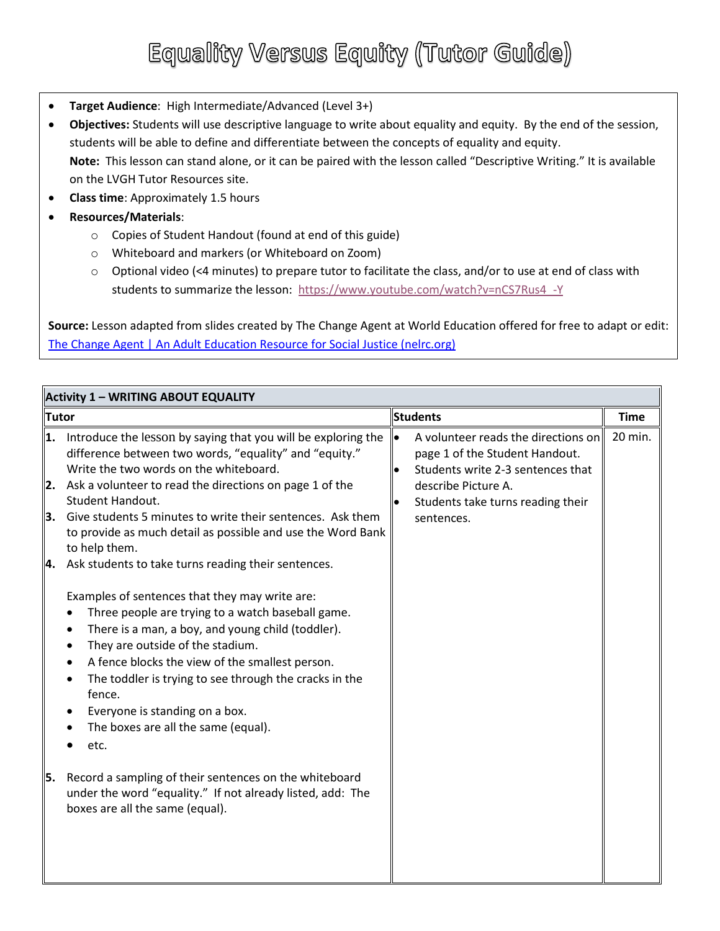### Equality Versus Equity (Tutor Guide)

- **Target Audience**: High Intermediate/Advanced (Level 3+)
- **Objectives:** Students will use descriptive language to write about equality and equity. By the end of the session, students will be able to define and differentiate between the concepts of equality and equity. **Note:** This lesson can stand alone, or it can be paired with the lesson called "Descriptive Writing." It is available on the LVGH Tutor Resources site.
- **Class time**: Approximately 1.5 hours
- **Resources/Materials**:
	- o Copies of Student Handout (found at end of this guide)
	- o Whiteboard and markers (or Whiteboard on Zoom)
	- o Optional video (<4 minutes) to prepare tutor to facilitate the class, and/or to use at end of class with students to summarize the lesson: [https://www.youtube.com/watch?v=nCS7Rus4\\_-Y](https://www.youtube.com/watch?v=nCS7Rus4_-Y)

**Source:** Lesson adapted from slides created by The Change Agent at World Education offered for free to adapt or edit: [The Change Agent | An Adult Education Resource for Social Justice \(nelrc.org\)](https://changeagent.nelrc.org/)

| <b>Activity 1 - WRITING ABOUT EQUALITY</b> |                                                                                                                                                                                                                                                                                                                                                                                                                        |           |                                                                                                            |             |  |  |  |
|--------------------------------------------|------------------------------------------------------------------------------------------------------------------------------------------------------------------------------------------------------------------------------------------------------------------------------------------------------------------------------------------------------------------------------------------------------------------------|-----------|------------------------------------------------------------------------------------------------------------|-------------|--|--|--|
| Tutor                                      |                                                                                                                                                                                                                                                                                                                                                                                                                        | Students  |                                                                                                            | <b>Time</b> |  |  |  |
| 1.                                         | Introduce the lesson by saying that you will be exploring the<br>difference between two words, "equality" and "equity."<br>Write the two words on the whiteboard.                                                                                                                                                                                                                                                      | $\bullet$ | A volunteer reads the directions on<br>page 1 of the Student Handout.<br>Students write 2-3 sentences that | 20 min.     |  |  |  |
| 2.                                         | Ask a volunteer to read the directions on page 1 of the<br>Student Handout.                                                                                                                                                                                                                                                                                                                                            |           | describe Picture A.<br>Students take turns reading their                                                   |             |  |  |  |
| 3.                                         | Give students 5 minutes to write their sentences. Ask them<br>to provide as much detail as possible and use the Word Bank<br>to help them.                                                                                                                                                                                                                                                                             |           | sentences.                                                                                                 |             |  |  |  |
| 4.                                         | Ask students to take turns reading their sentences.                                                                                                                                                                                                                                                                                                                                                                    |           |                                                                                                            |             |  |  |  |
|                                            | Examples of sentences that they may write are:<br>Three people are trying to a watch baseball game.<br>There is a man, a boy, and young child (toddler).<br>They are outside of the stadium.<br>٠<br>A fence blocks the view of the smallest person.<br>The toddler is trying to see through the cracks in the<br>$\bullet$<br>fence.<br>Everyone is standing on a box.<br>The boxes are all the same (equal).<br>etc. |           |                                                                                                            |             |  |  |  |
| 55.                                        | Record a sampling of their sentences on the whiteboard<br>under the word "equality." If not already listed, add: The<br>boxes are all the same (equal).                                                                                                                                                                                                                                                                |           |                                                                                                            |             |  |  |  |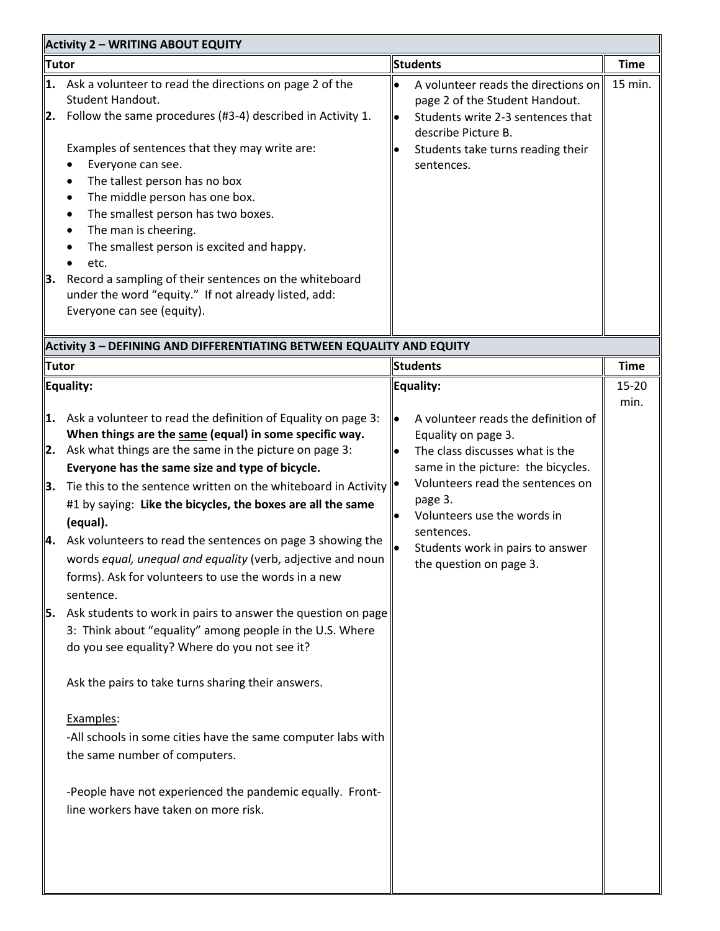| <b>Activity 2 - WRITING ABOUT EQUITY</b> |                                                                                                                                                                                                                                                                                                                                                                                                                                                                                                                                                                                                                                                                                                                                                                                                                                                                                                                                                                                                                                            |           |                                                                                                                                                                                                                                                                                                |                        |  |  |
|------------------------------------------|--------------------------------------------------------------------------------------------------------------------------------------------------------------------------------------------------------------------------------------------------------------------------------------------------------------------------------------------------------------------------------------------------------------------------------------------------------------------------------------------------------------------------------------------------------------------------------------------------------------------------------------------------------------------------------------------------------------------------------------------------------------------------------------------------------------------------------------------------------------------------------------------------------------------------------------------------------------------------------------------------------------------------------------------|-----------|------------------------------------------------------------------------------------------------------------------------------------------------------------------------------------------------------------------------------------------------------------------------------------------------|------------------------|--|--|
| <b>Tutor</b>                             |                                                                                                                                                                                                                                                                                                                                                                                                                                                                                                                                                                                                                                                                                                                                                                                                                                                                                                                                                                                                                                            |           | <b>Students</b>                                                                                                                                                                                                                                                                                |                        |  |  |
| 1.<br>2.<br>3.                           | Ask a volunteer to read the directions on page 2 of the<br>Student Handout.<br>Follow the same procedures (#3-4) described in Activity 1.<br>Examples of sentences that they may write are:<br>Everyone can see.<br>The tallest person has no box<br>The middle person has one box.<br>The smallest person has two boxes.<br>The man is cheering.<br>٠<br>The smallest person is excited and happy.<br>etc.<br>Record a sampling of their sentences on the whiteboard<br>under the word "equity." If not already listed, add:<br>Everyone can see (equity).                                                                                                                                                                                                                                                                                                                                                                                                                                                                                |           | A volunteer reads the directions on<br>page 2 of the Student Handout.<br>Students write 2-3 sentences that<br>describe Picture B.<br>Students take turns reading their<br>sentences.                                                                                                           | <b>Time</b><br>15 min. |  |  |
|                                          | Activity 3 - DEFINING AND DIFFERENTIATING BETWEEN EQUALITY AND EQUITY                                                                                                                                                                                                                                                                                                                                                                                                                                                                                                                                                                                                                                                                                                                                                                                                                                                                                                                                                                      |           |                                                                                                                                                                                                                                                                                                |                        |  |  |
| <b>Tutor</b>                             |                                                                                                                                                                                                                                                                                                                                                                                                                                                                                                                                                                                                                                                                                                                                                                                                                                                                                                                                                                                                                                            |           | <b>Students</b>                                                                                                                                                                                                                                                                                | <b>Time</b>            |  |  |
|                                          | Equality:                                                                                                                                                                                                                                                                                                                                                                                                                                                                                                                                                                                                                                                                                                                                                                                                                                                                                                                                                                                                                                  |           | Equality:                                                                                                                                                                                                                                                                                      | 15-20<br>min.          |  |  |
| 1.<br>2.<br>3.<br>Ι4.<br>5.              | Ask a volunteer to read the definition of Equality on page 3:<br>When things are the same (equal) in some specific way.<br>Ask what things are the same in the picture on page 3:<br>Everyone has the same size and type of bicycle.<br>Tie this to the sentence written on the whiteboard in Activity<br>#1 by saying: Like the bicycles, the boxes are all the same<br>(equal).<br>Ask volunteers to read the sentences on page 3 showing the<br>words equal, unequal and equality (verb, adjective and noun<br>forms). Ask for volunteers to use the words in a new<br>sentence.<br>Ask students to work in pairs to answer the question on page<br>3: Think about "equality" among people in the U.S. Where<br>do you see equality? Where do you not see it?<br>Ask the pairs to take turns sharing their answers.<br>Examples:<br>-All schools in some cities have the same computer labs with<br>the same number of computers.<br>-People have not experienced the pandemic equally. Front-<br>line workers have taken on more risk. | $\bullet$ | A volunteer reads the definition of<br>Equality on page 3.<br>The class discusses what is the<br>same in the picture: the bicycles.<br>Volunteers read the sentences on<br>page 3.<br>Volunteers use the words in<br>sentences.<br>Students work in pairs to answer<br>the question on page 3. |                        |  |  |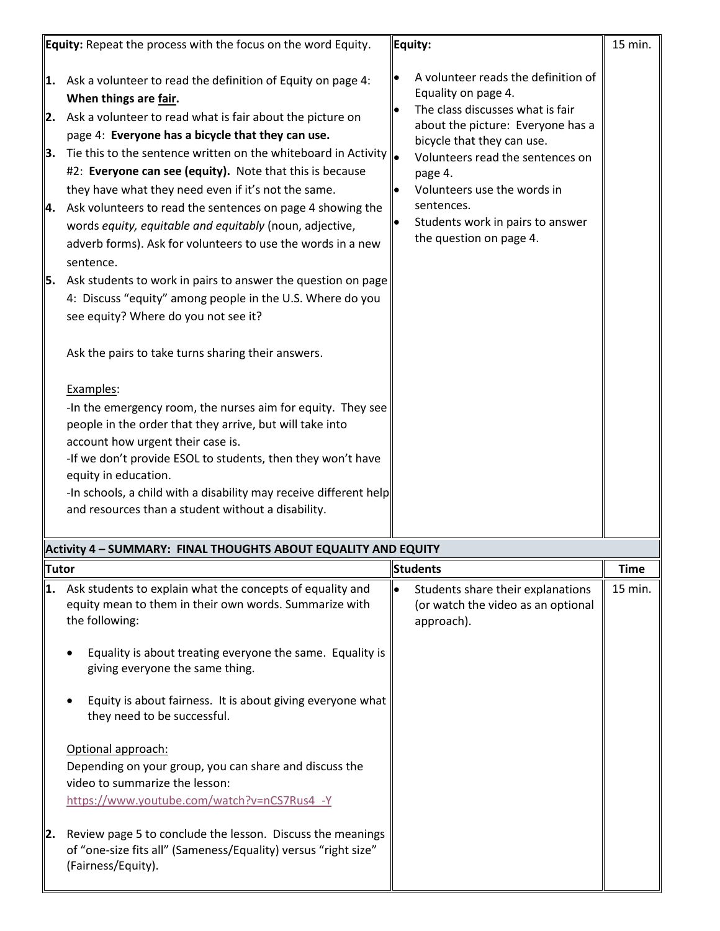|                            | <b>Equity:</b> Repeat the process with the focus on the word Equity.                                                                                                                                                                                                                                                                                                                                                                                                                                                                                                                                                                                                                                                                                                                                                                                                                                                                                                                                                                                                                                                                                                                                                                      |                 | Equity:                                                                                                                                                                                                                                                                                                                      | 15 min.                |
|----------------------------|-------------------------------------------------------------------------------------------------------------------------------------------------------------------------------------------------------------------------------------------------------------------------------------------------------------------------------------------------------------------------------------------------------------------------------------------------------------------------------------------------------------------------------------------------------------------------------------------------------------------------------------------------------------------------------------------------------------------------------------------------------------------------------------------------------------------------------------------------------------------------------------------------------------------------------------------------------------------------------------------------------------------------------------------------------------------------------------------------------------------------------------------------------------------------------------------------------------------------------------------|-----------------|------------------------------------------------------------------------------------------------------------------------------------------------------------------------------------------------------------------------------------------------------------------------------------------------------------------------------|------------------------|
| 1.<br>2.<br>3.<br>4.<br>5. | Ask a volunteer to read the definition of Equity on page 4:<br>When things are fair.<br>Ask a volunteer to read what is fair about the picture on<br>page 4: Everyone has a bicycle that they can use.<br>Tie this to the sentence written on the whiteboard in Activity $\ _{\bullet}$<br>#2: Everyone can see (equity). Note that this is because<br>they have what they need even if it's not the same.<br>Ask volunteers to read the sentences on page 4 showing the<br>words equity, equitable and equitably (noun, adjective,<br>adverb forms). Ask for volunteers to use the words in a new<br>sentence.<br>Ask students to work in pairs to answer the question on page<br>4: Discuss "equity" among people in the U.S. Where do you<br>see equity? Where do you not see it?<br>Ask the pairs to take turns sharing their answers.<br>Examples:<br>-In the emergency room, the nurses aim for equity. They see<br>people in the order that they arrive, but will take into<br>account how urgent their case is.<br>-If we don't provide ESOL to students, then they won't have<br>equity in education.<br>-In schools, a child with a disability may receive different help<br>and resources than a student without a disability. |                 | A volunteer reads the definition of<br>Equality on page 4.<br>The class discusses what is fair<br>about the picture: Everyone has a<br>bicycle that they can use.<br>Volunteers read the sentences on<br>page 4.<br>Volunteers use the words in<br>sentences.<br>Students work in pairs to answer<br>the question on page 4. |                        |
|                            | Activity 4 - SUMMARY: FINAL THOUGHTS ABOUT EQUALITY AND EQUITY                                                                                                                                                                                                                                                                                                                                                                                                                                                                                                                                                                                                                                                                                                                                                                                                                                                                                                                                                                                                                                                                                                                                                                            |                 |                                                                                                                                                                                                                                                                                                                              |                        |
|                            |                                                                                                                                                                                                                                                                                                                                                                                                                                                                                                                                                                                                                                                                                                                                                                                                                                                                                                                                                                                                                                                                                                                                                                                                                                           | <b>Students</b> |                                                                                                                                                                                                                                                                                                                              |                        |
| <b>Tutor</b><br>1.<br>2.   | Ask students to explain what the concepts of equality and<br>equity mean to them in their own words. Summarize with<br>the following:<br>Equality is about treating everyone the same. Equality is<br>giving everyone the same thing.<br>Equity is about fairness. It is about giving everyone what<br>they need to be successful.<br>Optional approach:<br>Depending on your group, you can share and discuss the<br>video to summarize the lesson:<br>https://www.youtube.com/watch?v=nCS7Rus4 -Y<br>Review page 5 to conclude the lesson. Discuss the meanings<br>of "one-size fits all" (Sameness/Equality) versus "right size"<br>(Fairness/Equity).                                                                                                                                                                                                                                                                                                                                                                                                                                                                                                                                                                                 |                 | Students share their explanations<br>(or watch the video as an optional<br>approach).                                                                                                                                                                                                                                        | <b>Time</b><br>15 min. |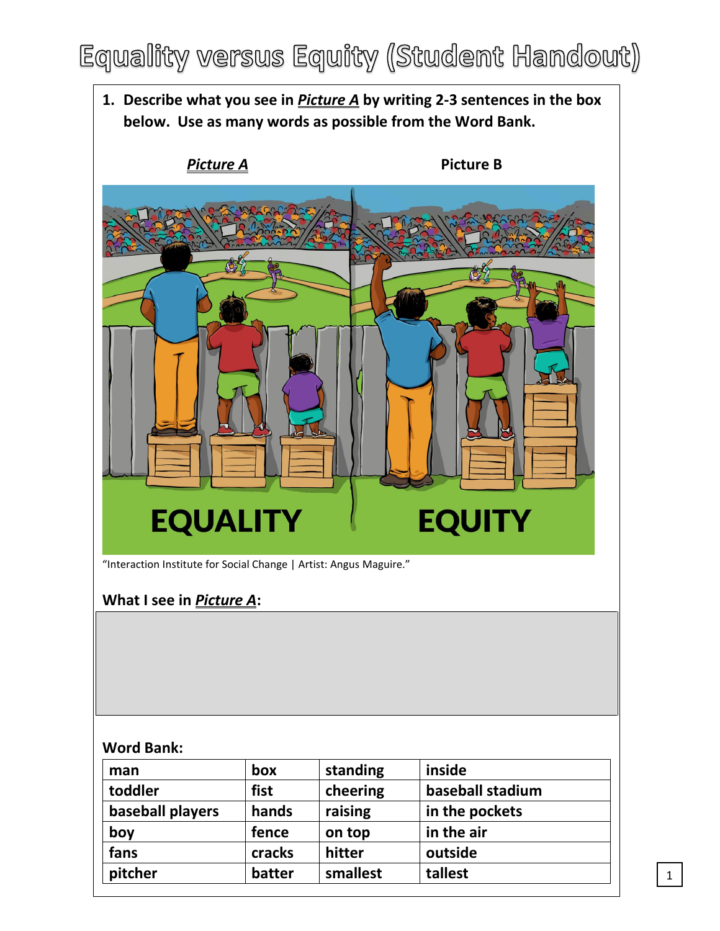### Equality versus Equity (Student Handout)

**1. Describe what you see in** *Picture A* **by writing 2-3 sentences in the box below. Use as many words as possible from the Word Bank.**  *Picture A* **Picture B EQUITY EQUALITY** "Interaction Institute for Social Change | Artist: Angus Maguire." **What I see in** *Picture A***: Word Bank: man box standing inside toddler fist cheering baseball stadium baseball players hands raising in the pockets**

**boy fence on top in the air fans cracks hitter outside pitcher batter smallest tallest**

1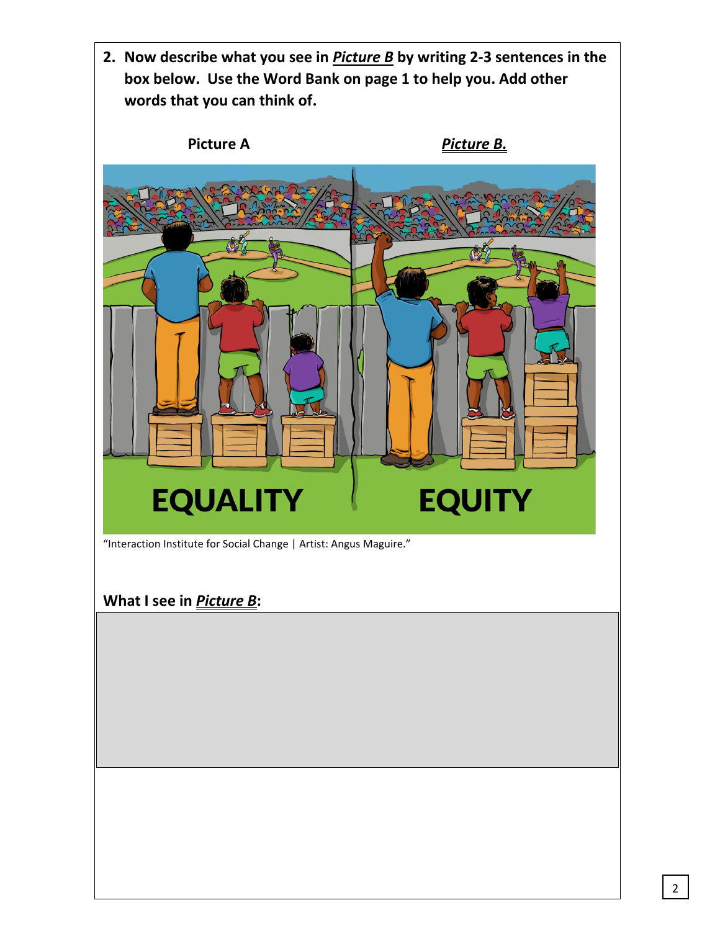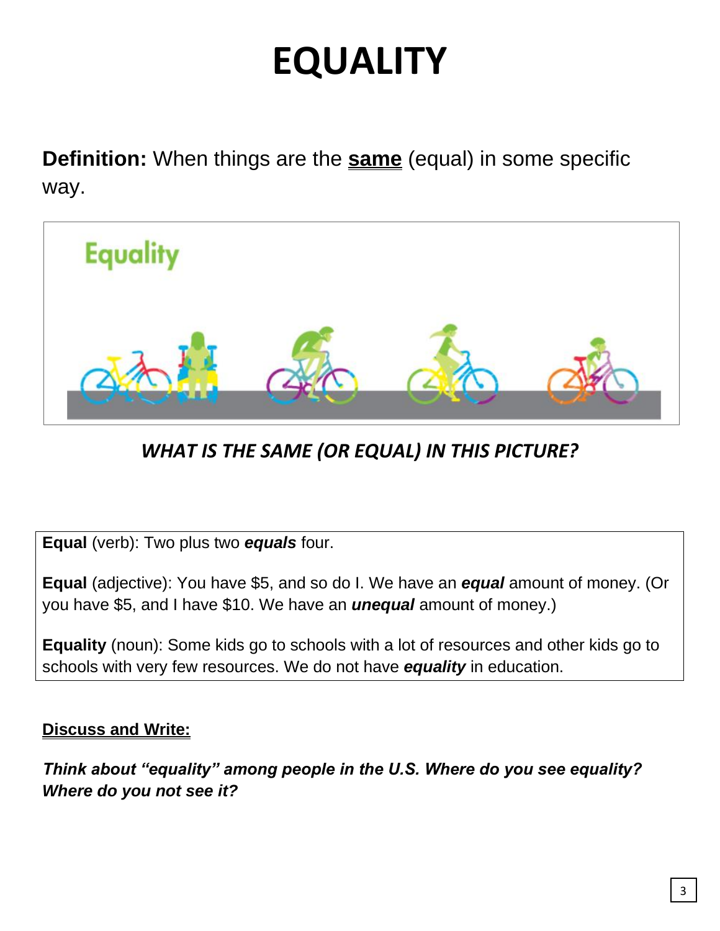# **EQUALITY**

**Definition:** When things are the **same** (equal) in some specific way.



*WHAT IS THE SAME (OR EQUAL) IN THIS PICTURE?*

**Equal** (verb): Two plus two *equals* four.

**Equal** (adjective): You have \$5, and so do I. We have an *equal* amount of money. (Or you have \$5, and I have \$10. We have an *unequal* amount of money.)

**Equality** (noun): Some kids go to schools with a lot of resources and other kids go to schools with very few resources. We do not have *equality* in education.

#### **Discuss and Write:**

*Think about "equality" among people in the U.S. Where do you see equality? Where do you not see it?*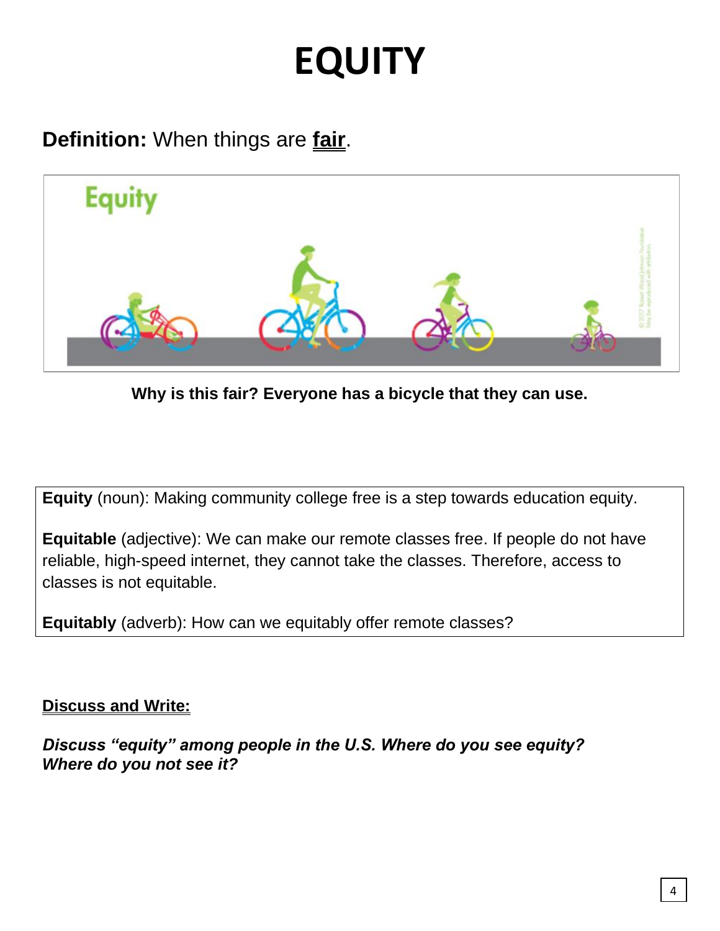## **EQUITY**

**Definition:** When things are **fair**.



**Why is this fair? Everyone has a bicycle that they can use.** 

**Equity** (noun): Making community college free is a step towards education equity.

**Equitable** (adjective): We can make our remote classes free. If people do not have reliable, high-speed internet, they cannot take the classes. Therefore, access to classes is not equitable.

**Equitably** (adverb): How can we equitably offer remote classes?

**Discuss and Write:**

*Discuss "equity" among people in the U.S. Where do you see equity? Where do you not see it?*